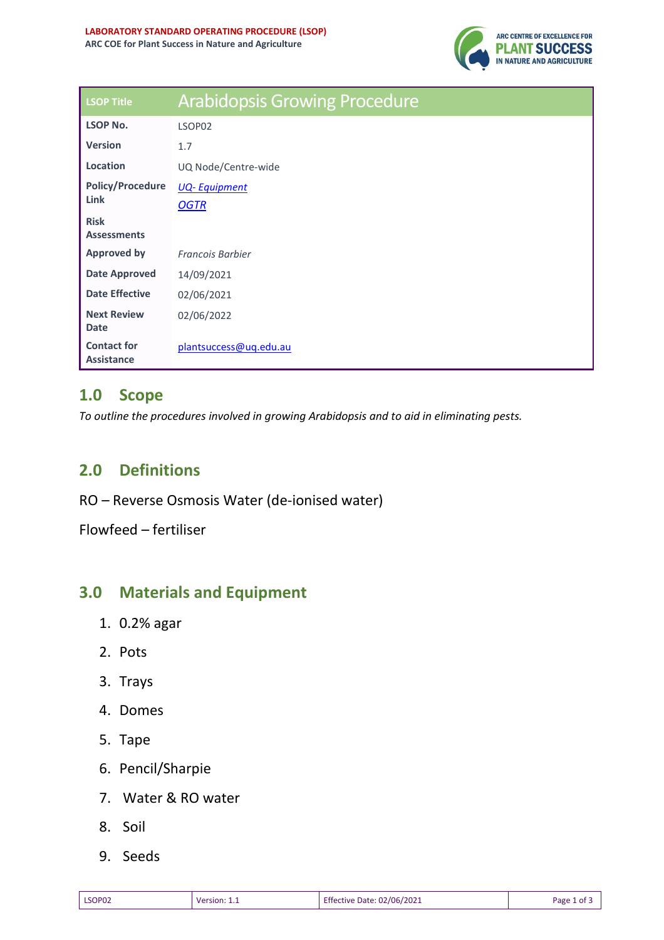

| <b>LSOP Title</b>                 | <b>Arabidopsis Growing Procedure</b> |  |  |
|-----------------------------------|--------------------------------------|--|--|
| <b>LSOP No.</b>                   | LSOP02                               |  |  |
| <b>Version</b>                    | 1.7                                  |  |  |
| Location                          | UQ Node/Centre-wide                  |  |  |
| <b>Policy/Procedure</b><br>Link   | <b>UQ-Equipment</b>                  |  |  |
|                                   | <b>OGTR</b>                          |  |  |
| <b>Risk</b><br><b>Assessments</b> |                                      |  |  |
| <b>Approved by</b>                | <b>Francois Barbier</b>              |  |  |
| Date Approved                     | 14/09/2021                           |  |  |
| <b>Date Effective</b>             | 02/06/2021                           |  |  |
| <b>Next Review</b>                |                                      |  |  |
| <b>Date</b>                       | 02/06/2022                           |  |  |
| <b>Contact for</b>                | plantsuccess@uq.edu.au               |  |  |
| <b>Assistance</b>                 |                                      |  |  |

## **1.0 Scope**

*To outline the procedures involved in growing Arabidopsis and to aid in eliminating pests.* 

## **2.0 Definitions**

RO – Reverse Osmosis Water (de-ionised water)

Flowfeed – fertiliser

### **3.0 Materials and Equipment**

- 1. 0.2% agar
- 2. Pots
- 3. Trays
- 4. Domes
- 5. Tape
- 6. Pencil/Sharpie
- 7. Water & RO water
- 8. Soil
- 9. Seeds

| LSOP02 | Version:<br>_______ | : 02/06/2021<br>Effective Date:<br>. | Page 1<br>nt. |
|--------|---------------------|--------------------------------------|---------------|
|--------|---------------------|--------------------------------------|---------------|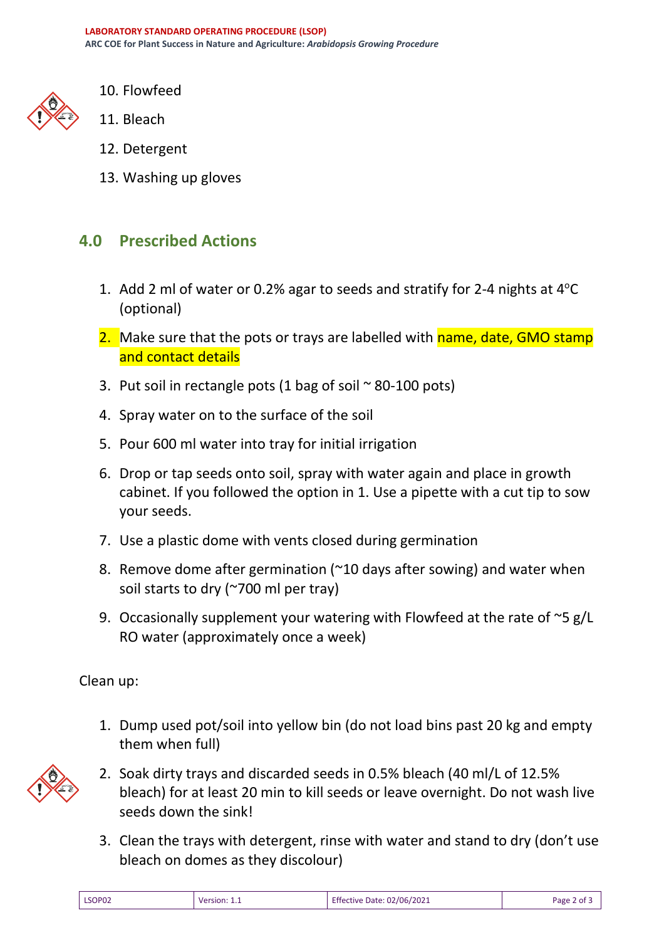

- 10. Flowfeed
- 11. Bleach
- 12. Detergent
- 13. Washing up gloves

# **4.0 Prescribed Actions**

- 1. Add 2 ml of water or 0.2% agar to seeds and stratify for 2-4 nights at  $4^{\circ}$ C (optional)
- 2. Make sure that the pots or trays are labelled with name, date, GMO stamp and contact details
- 3. Put soil in rectangle pots (1 bag of soil  $\sim$  80-100 pots)
- 4. Spray water on to the surface of the soil
- 5. Pour 600 ml water into tray for initial irrigation
- 6. Drop or tap seeds onto soil, spray with water again and place in growth cabinet. If you followed the option in 1. Use a pipette with a cut tip to sow your seeds.
- 7. Use a plastic dome with vents closed during germination
- 8. Remove dome after germination (~10 days after sowing) and water when soil starts to dry (~700 ml per tray)
- 9. Occasionally supplement your watering with Flowfeed at the rate of  $\sim$ 5 g/L RO water (approximately once a week)

Clean up:

1. Dump used pot/soil into yellow bin (do not load bins past 20 kg and empty them when full)



- 2. Soak dirty trays and discarded seeds in 0.5% bleach (40 ml/L of 12.5% bleach) for at least 20 min to kill seeds or leave overnight. Do not wash live seeds down the sink!
- 3. Clean the trays with detergent, rinse with water and stand to dry (don't use bleach on domes as they discolour)